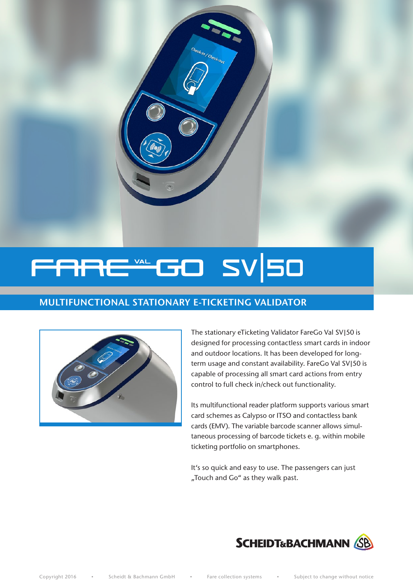

n/ Check-out

# MULTIFUNCTIONAL STATIONARY E-TICKETING VALIDATOR



The stationary eTicketing Validator FareGo Val SV|50 is designed for processing contactless smart cards in indoor and outdoor locations. It has been developed for longterm usage and constant availability. FareGo Val SV|50 is capable of processing all smart card actions from entry control to full check in/check out functionality.

Its multifunctional reader platform supports various smart card schemes as Calypso or ITSO and contactless bank cards (EMV). The variable barcode scanner allows simultaneous processing of barcode tickets e. g. within mobile ticketing portfolio on smartphones.

It's so quick and easy to use. The passengers can just "Touch and Go" as they walk past.